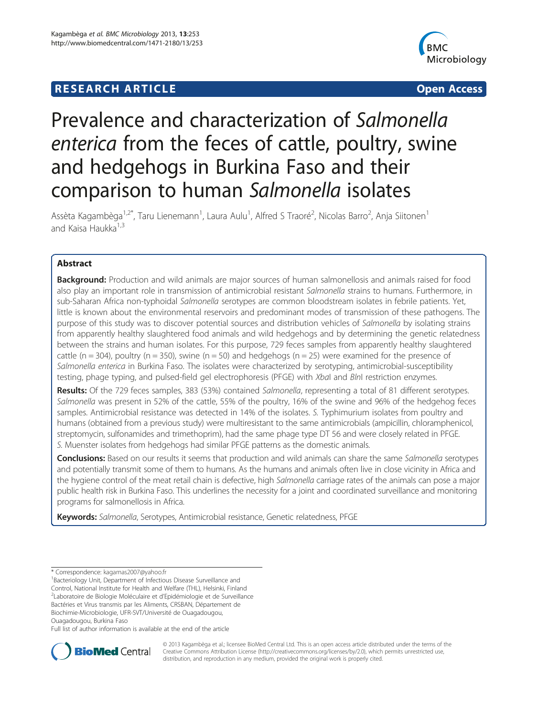# **RESEARCH ARTICLE Example 2008 12:00 DEAR COPEN ACCESS**



# Prevalence and characterization of Salmonella enterica from the feces of cattle, poultry, swine and hedgehogs in Burkina Faso and their comparison to human Salmonella isolates

Assèta Kagambèga<sup>1,2\*</sup>, Taru Lienemann<sup>1</sup>, Laura Aulu<sup>1</sup>, Alfred S Traoré<sup>2</sup>, Nicolas Barro<sup>2</sup>, Anja Siitonen<sup>1</sup> and Kaisa Haukka<sup>1,3</sup>

# Abstract

Background: Production and wild animals are major sources of human salmonellosis and animals raised for food also play an important role in transmission of antimicrobial resistant Salmonella strains to humans. Furthermore, in sub-Saharan Africa non-typhoidal Salmonella serotypes are common bloodstream isolates in febrile patients. Yet, little is known about the environmental reservoirs and predominant modes of transmission of these pathogens. The purpose of this study was to discover potential sources and distribution vehicles of Salmonella by isolating strains from apparently healthy slaughtered food animals and wild hedgehogs and by determining the genetic relatedness between the strains and human isolates. For this purpose, 729 feces samples from apparently healthy slaughtered cattle (n = 304), poultry (n = 350), swine (n = 50) and hedgehogs (n = 25) were examined for the presence of Salmonella enterica in Burkina Faso. The isolates were characterized by serotyping, antimicrobial-susceptibility testing, phage typing, and pulsed-field gel electrophoresis (PFGE) with XbaI and BlnI restriction enzymes.

Results: Of the 729 feces samples, 383 (53%) contained Salmonella, representing a total of 81 different serotypes. Salmonella was present in 52% of the cattle, 55% of the poultry, 16% of the swine and 96% of the hedgehog feces samples. Antimicrobial resistance was detected in 14% of the isolates. S. Typhimurium isolates from poultry and humans (obtained from a previous study) were multiresistant to the same antimicrobials (ampicillin, chloramphenicol, streptomycin, sulfonamides and trimethoprim), had the same phage type DT 56 and were closely related in PFGE. S. Muenster isolates from hedgehogs had similar PFGE patterns as the domestic animals.

Conclusions: Based on our results it seems that production and wild animals can share the same Salmonella serotypes and potentially transmit some of them to humans. As the humans and animals often live in close vicinity in Africa and the hygiene control of the meat retail chain is defective, high Salmonella carriage rates of the animals can pose a major public health risk in Burkina Faso. This underlines the necessity for a joint and coordinated surveillance and monitoring programs for salmonellosis in Africa.

Keywords: Salmonella, Serotypes, Antimicrobial resistance, Genetic relatedness, PFGE

<sup>1</sup>Bacteriology Unit, Department of Infectious Disease Surveillance and Control, National Institute for Health and Welfare (THL), Helsinki, Finland <sup>2</sup>Laboratoire de Biologie Moléculaire et d'Epidémiologie et de Surveillance Bactéries et Virus transmis par les Aliments, CRSBAN, Département de Biochimie-Microbiologie, UFR-SVT/Université de Ouagadougou,

Ouagadougou, Burkina Faso

Full list of author information is available at the end of the article



© 2013 Kagambèga et al.; licensee BioMed Central Ltd. This is an open access article distributed under the terms of the Creative Commons Attribution License (<http://creativecommons.org/licenses/by/2.0>), which permits unrestricted use, distribution, and reproduction in any medium, provided the original work is properly cited.

<sup>\*</sup> Correspondence: [kagamas2007@yahoo.fr](mailto:kagamas2007@yahoo.fr) <sup>1</sup>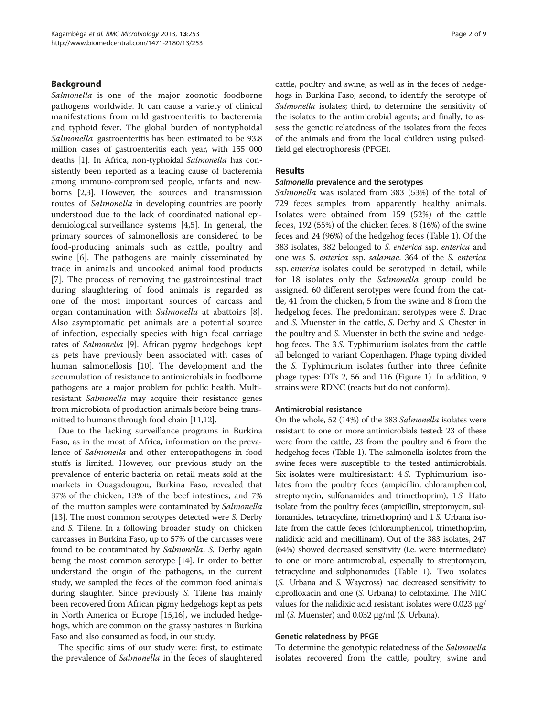# **Background**

Salmonella is one of the major zoonotic foodborne pathogens worldwide. It can cause a variety of clinical manifestations from mild gastroenteritis to bacteremia and typhoid fever. The global burden of nontyphoidal Salmonella gastroenteritis has been estimated to be 93.8 million cases of gastroenteritis each year, with 155 000 deaths [\[1](#page-7-0)]. In Africa, non-typhoidal Salmonella has consistently been reported as a leading cause of bacteremia among immuno-compromised people, infants and newborns [[2,3\]](#page-7-0). However, the sources and transmission routes of Salmonella in developing countries are poorly understood due to the lack of coordinated national epidemiological surveillance systems [[4,5\]](#page-7-0). In general, the primary sources of salmonellosis are considered to be food-producing animals such as cattle, poultry and swine [\[6](#page-7-0)]. The pathogens are mainly disseminated by trade in animals and uncooked animal food products [[7\]](#page-7-0). The process of removing the gastrointestinal tract during slaughtering of food animals is regarded as one of the most important sources of carcass and organ contamination with Salmonella at abattoirs [\[8](#page-7-0)]. Also asymptomatic pet animals are a potential source of infection, especially species with high fecal carriage rates of Salmonella [[9](#page-7-0)]. African pygmy hedgehogs kept as pets have previously been associated with cases of human salmonellosis [[10](#page-7-0)]. The development and the accumulation of resistance to antimicrobials in foodborne pathogens are a major problem for public health. Multiresistant Salmonella may acquire their resistance genes from microbiota of production animals before being transmitted to humans through food chain [\[11,12\]](#page-7-0).

Due to the lacking surveillance programs in Burkina Faso, as in the most of Africa, information on the prevalence of Salmonella and other enteropathogens in food stuffs is limited. However, our previous study on the prevalence of enteric bacteria on retail meats sold at the markets in Ouagadougou, Burkina Faso, revealed that 37% of the chicken, 13% of the beef intestines, and 7% of the mutton samples were contaminated by *Salmonella* [[13](#page-7-0)]. The most common serotypes detected were S. Derby and S. Tilene. In a following broader study on chicken carcasses in Burkina Faso, up to 57% of the carcasses were found to be contaminated by *Salmonella*, *S.* Derby again being the most common serotype [\[14\]](#page-7-0). In order to better understand the origin of the pathogens, in the current study, we sampled the feces of the common food animals during slaughter. Since previously S. Tilene has mainly been recovered from African pigmy hedgehogs kept as pets in North America or Europe [\[15,16](#page-7-0)], we included hedgehogs, which are common on the grassy pastures in Burkina Faso and also consumed as food, in our study.

The specific aims of our study were: first, to estimate the prevalence of Salmonella in the feces of slaughtered cattle, poultry and swine, as well as in the feces of hedgehogs in Burkina Faso; second, to identify the serotype of Salmonella isolates; third, to determine the sensitivity of the isolates to the antimicrobial agents; and finally, to assess the genetic relatedness of the isolates from the feces of the animals and from the local children using pulsedfield gel electrophoresis (PFGE).

#### Results

### Salmonella prevalence and the serotypes

Salmonella was isolated from 383 (53%) of the total of 729 feces samples from apparently healthy animals. Isolates were obtained from 159 (52%) of the cattle feces, 192 (55%) of the chicken feces, 8 (16%) of the swine feces and 24 (96%) of the hedgehog feces (Table [1\)](#page-2-0). Of the 383 isolates, 382 belonged to S. enterica ssp. enterica and one was S. enterica ssp. salamae. 364 of the S. enterica ssp. enterica isolates could be serotyped in detail, while for 18 isolates only the Salmonella group could be assigned. 60 different serotypes were found from the cattle, 41 from the chicken, 5 from the swine and 8 from the hedgehog feces. The predominant serotypes were S. Drac and S. Muenster in the cattle, S. Derby and S. Chester in the poultry and S. Muenster in both the swine and hedgehog feces. The 3 S. Typhimurium isolates from the cattle all belonged to variant Copenhagen. Phage typing divided the S. Typhimurium isolates further into three definite phage types: DTs 2, 56 and 116 (Figure [1](#page-4-0)). In addition, 9 strains were RDNC (reacts but do not conform).

#### Antimicrobial resistance

On the whole, 52 (14%) of the 383 Salmonella isolates were resistant to one or more antimicrobials tested: 23 of these were from the cattle, 23 from the poultry and 6 from the hedgehog feces (Table [1](#page-2-0)). The salmonella isolates from the swine feces were susceptible to the tested antimicrobials. Six isolates were multiresistant: 4 S. Typhimurium isolates from the poultry feces (ampicillin, chloramphenicol, streptomycin, sulfonamides and trimethoprim), 1 S. Hato isolate from the poultry feces (ampicillin, streptomycin, sulfonamides, tetracycline, trimethoprim) and 1 S. Urbana isolate from the cattle feces (chloramphenicol, trimethoprim, nalidixic acid and mecillinam). Out of the 383 isolates, 247 (64%) showed decreased sensitivity (i.e. were intermediate) to one or more antimicrobial, especially to streptomycin, tetracycline and sulphonamides (Table [1\)](#page-2-0). Two isolates (S. Urbana and S. Waycross) had decreased sensitivity to ciprofloxacin and one (S. Urbana) to cefotaxime. The MIC values for the nalidixic acid resistant isolates were 0.023 μg/ ml (*S.* Muenster) and 0.032 μg/ml (*S.* Urbana).

#### Genetic relatedness by PFGE

To determine the genotypic relatedness of the Salmonella isolates recovered from the cattle, poultry, swine and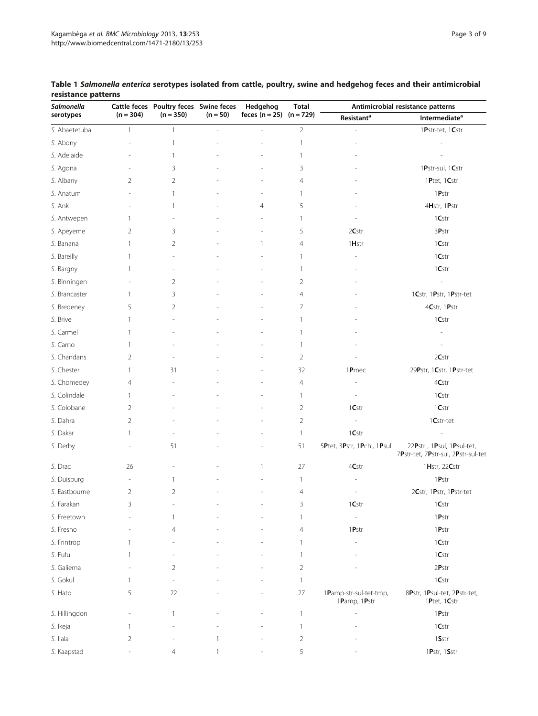| Salmonella    |                          | Cattle feces Poultry feces Swine feces |            | Hedgehog                     | <b>Total</b>   | Antimicrobial resistance patterns      |                                                                  |  |  |
|---------------|--------------------------|----------------------------------------|------------|------------------------------|----------------|----------------------------------------|------------------------------------------------------------------|--|--|
| serotypes     | $(n = 304)$              | $(n = 350)$                            | $(n = 50)$ | feces $(n = 25)$ $(n = 729)$ |                | Resistant <sup>a</sup>                 | Intermediate <sup>a</sup>                                        |  |  |
| S. Abaetetuba | $\mathbf{1}$             | $\mathbf{1}$                           | ٠          |                              | $\overline{2}$ |                                        | 1Pstr-tet, 1Cstr                                                 |  |  |
| S. Abony      |                          | $\mathbf{1}$                           |            |                              | $\mathbf{1}$   |                                        |                                                                  |  |  |
| S. Adelaide   |                          | 1                                      |            |                              | 1              |                                        |                                                                  |  |  |
| S. Agona      |                          | 3                                      |            |                              | 3              |                                        | 1Pstr-sul, 1Cstr                                                 |  |  |
| S. Albany     | 2                        | $\overline{2}$                         |            |                              | 4              |                                        | 1 $P$ tet, 1 $C$ str                                             |  |  |
| S. Anatum     |                          | 1                                      |            |                              | $\mathbf{1}$   |                                        | 1Pstr                                                            |  |  |
| S. Ank        |                          | 1                                      |            | $\overline{4}$               | 5              |                                        | 4Hstr, 1Pstr                                                     |  |  |
| S. Antwepen   | 1                        |                                        |            |                              | 1              |                                        | 1Cstr                                                            |  |  |
| S. Apeyeme    | 2                        | 3                                      |            |                              | 5              | 2Cstr                                  | 3Pstr                                                            |  |  |
| S. Banana     | 1                        | $\overline{2}$                         |            | 1                            | $\overline{4}$ | 1 <b>H</b> str                         | 1Cstr                                                            |  |  |
| S. Bareilly   | 1                        | Ĭ.                                     |            |                              | $\mathbf{1}$   |                                        | 1Cstr                                                            |  |  |
| S. Bargny     | 1                        |                                        |            |                              | 1              |                                        | 1Cstr                                                            |  |  |
| S. Binningen  |                          | 2                                      |            |                              | 2              |                                        |                                                                  |  |  |
| S. Brancaster | 1                        | 3                                      |            |                              | $\overline{4}$ |                                        | 1Cstr, 1Pstr, 1Pstr-tet                                          |  |  |
| S. Bredeney   | 5                        | 2                                      |            |                              | 7              |                                        | 4Cstr, 1Pstr                                                     |  |  |
| S. Brive      | 1                        |                                        |            |                              | 1              |                                        | 1Cstr                                                            |  |  |
| S. Carmel     | 1                        |                                        |            |                              | $\mathbf{1}$   |                                        |                                                                  |  |  |
| S. Carno      | 1                        |                                        |            |                              | 1              |                                        |                                                                  |  |  |
| S. Chandans   | $\overline{2}$           |                                        |            |                              | $\overline{2}$ |                                        | 2Cstr                                                            |  |  |
| S. Chester    | 1                        | 31                                     |            |                              | 32             | 1Pmec                                  | 29Pstr, 1Cstr, 1Pstr-tet                                         |  |  |
| S. Chomedey   | 4                        |                                        |            |                              | 4              |                                        | 4Cstr                                                            |  |  |
| S. Colindale  | 1                        |                                        |            |                              | $\mathbf{1}$   |                                        | 1Cstr                                                            |  |  |
| S. Colobane   | 2                        |                                        |            |                              | $\overline{2}$ | 1Cstr                                  | 1Cstr                                                            |  |  |
| S. Dahra      | 2                        |                                        |            |                              | $\overline{2}$ |                                        | 1Cstr-tet                                                        |  |  |
| S. Dakar      | 1                        |                                        |            |                              | $\mathbf{1}$   | 1Cstr                                  |                                                                  |  |  |
| S. Derby      |                          | 51                                     |            |                              | 51             | 5Ptet, 3Pstr, 1Pchl, 1Psul             | 22Pstr, 1Psul, 1Psul-tet,<br>7Pstr-tet, 7Pstr-sul, 2Pstr-sul-tet |  |  |
| S. Drac       | 26                       |                                        |            | 1                            | 27             | 4Cstr                                  | 1Hstr, 22Cstr                                                    |  |  |
| S. Duisburg   | $\overline{\phantom{a}}$ | $\mathbf{1}$                           |            |                              | 1              |                                        | 1Pstr                                                            |  |  |
| S. Eastbourne | 2                        | 2                                      |            |                              | 4              |                                        | 2Cstr, 1Pstr, 1Pstr-tet                                          |  |  |
| S. Farakan    | 3                        |                                        |            |                              | 3              | $1\mathsf{Cstr}$                       | 1Cstr                                                            |  |  |
| S. Freetown   |                          | 1                                      |            |                              | 1              | L,                                     | 1Pstr                                                            |  |  |
| S. Fresno     |                          | $\overline{4}$                         |            |                              | 4              | 1Pstr                                  | $1$ <b>P</b> str                                                 |  |  |
| S. Frintrop   | 1                        |                                        |            |                              | $\mathbf{1}$   |                                        | 1Cstr                                                            |  |  |
| S. Fufu       | 1                        |                                        |            |                              | $\mathbf{1}$   |                                        | 1Cstr                                                            |  |  |
| S. Galiema    |                          | $\overline{2}$                         |            |                              | $\overline{2}$ |                                        | 2Pstr                                                            |  |  |
| S. Gokul      | 1                        | ä,                                     |            |                              | $\mathbf{1}$   |                                        | $1\mathsf{Cstr}$                                                 |  |  |
| S. Hato       | 5                        | 22                                     |            |                              | 27             | 1Pamp-str-sul-tet-tmp,<br>1Pamp, 1Pstr | 8Pstr, 1Psul-tet, 2Pstr-tet,<br>1 $P$ tet, 1 $C$ str             |  |  |
| S. Hillingdon |                          | $\mathbf{1}$                           |            |                              | $\mathbf{1}$   |                                        | $1$ <b>P</b> str                                                 |  |  |
| S. Ikeja      | 1                        |                                        |            |                              | $\mathbf{1}$   |                                        | 1Cstr                                                            |  |  |
| S. Ilala      | 2                        |                                        | 1          |                              | $\overline{2}$ |                                        | 1Sstr                                                            |  |  |
| S. Kaapstad   |                          | 4                                      |            |                              | 5              |                                        | 1 $Pstr, 1Sstr$                                                  |  |  |

# <span id="page-2-0"></span>Table 1 Salmonella enterica serotypes isolated from cattle, poultry, swine and hedgehog feces and their antimicrobial resistance patterns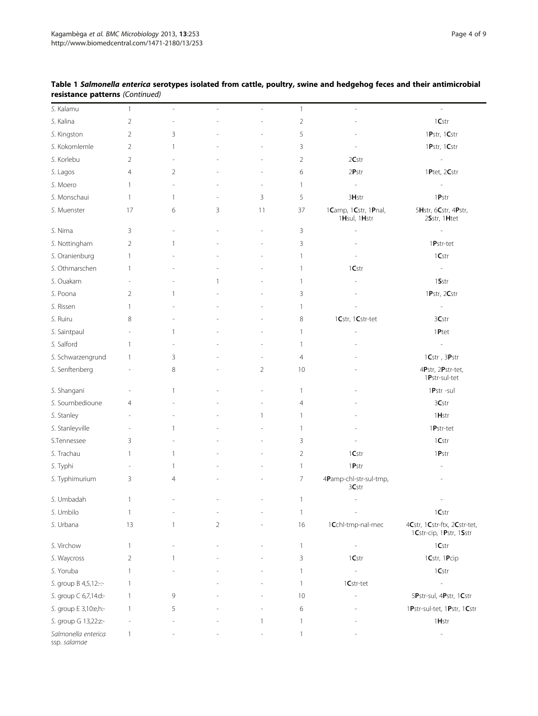| S. Kalamu                           | $\mathbf{1}$             | $\overline{\phantom{a}}$ | ÷,             | $\overline{\phantom{a}}$ | $\mathbf{1}$   | $\overline{\phantom{a}}$             | $\overline{\phantom{a}}$                                |
|-------------------------------------|--------------------------|--------------------------|----------------|--------------------------|----------------|--------------------------------------|---------------------------------------------------------|
| S. Kalina                           | $\overline{2}$           | ÷,                       |                |                          | $\overline{2}$ |                                      | 1Cstr                                                   |
| S. Kingston                         | $\overline{2}$           | 3                        |                |                          | 5              |                                      | 1Pstr, 1Cstr                                            |
| S. Kokomlemle                       | $\overline{2}$           | $\overline{1}$           |                |                          | 3              |                                      | 1Pstr, 1Cstr                                            |
| S. Korlebu                          | $\overline{2}$           |                          |                |                          | $\overline{2}$ | 2Cstr                                |                                                         |
| S. Lagos                            | $\overline{4}$           | $\overline{2}$           |                |                          | 6              | 2Pstr                                | 1Ptet, 2Cstr                                            |
| S. Moero                            | 1                        | $\overline{\phantom{a}}$ |                |                          | 1              | $\overline{a}$                       | i,                                                      |
| S. Monschaui                        | $\mathbf{1}$             | $\mathbf{1}$             |                | 3                        | 5              | 3Hstr                                | $1$ <b>P</b> str                                        |
| S. Muenster                         | 17                       | 6                        | 3              | 11                       | 37             | 1Camp, 1Cstr, 1Pnal,<br>1Hsul, 1Hstr | 5Hstr, 6Cstr, 4Pstr,<br>2Sstr, 1Htet                    |
| S. Nima                             | 3                        |                          |                |                          | 3              |                                      |                                                         |
| S. Nottingham                       | $\overline{2}$           | $\mathbf{1}$             |                |                          | 3              |                                      | 1Pstr-tet                                               |
| S. Oranienburg                      | 1                        |                          |                |                          | $\mathbf{1}$   |                                      | 1Cstr                                                   |
| S. Othmarschen                      | 1                        |                          |                |                          | $\mathbf{1}$   | 1Cstr                                | $\overline{\phantom{a}}$                                |
| S. Ouakam                           | L,                       |                          | 1              |                          | $\mathbf{1}$   |                                      | 1Sstr                                                   |
| S. Poona                            | $\overline{2}$           | $\mathbf{1}$             |                |                          | 3              |                                      | 1Pstr, 2Cstr                                            |
| S. Rissen                           | 1                        |                          |                |                          | $\mathbf{1}$   |                                      | $\overline{\phantom{a}}$                                |
| S. Ruiru                            | 8                        |                          |                |                          | 8              | 1Cstr, 1Cstr-tet                     | 3Cstr                                                   |
| S. Saintpaul                        | $\overline{\phantom{a}}$ | -1                       |                |                          | 1              |                                      | 1Ptet                                                   |
| S. Salford                          | 1                        |                          |                |                          | 1              |                                      | $\overline{\phantom{a}}$                                |
| S. Schwarzengrund                   | 1                        | 3                        |                |                          | 4              |                                      | $1\mathsf{Cstr}$ , $3\mathsf{Pstr}$                     |
| S. Senftenberg                      |                          | 8                        |                | $\overline{2}$           | 10             |                                      | 4Pstr, 2Pstr-tet,<br>1Pstr-sul-tet                      |
| S. Shangani                         |                          | $\mathbf{1}$             |                |                          | 1              |                                      | 1Pstr-sul                                               |
| S. Soumbedioune                     | 4                        |                          |                |                          | 4              |                                      | 3Cstr                                                   |
| S. Stanley                          | ÷,                       |                          |                | 1                        | $\mathbf{1}$   |                                      | 1 <b>H</b> str                                          |
| S. Stanleyville                     | L,                       | $\mathbf{1}$             |                |                          | $\mathbf{1}$   |                                      | 1Pstr-tet                                               |
| S.Tennessee                         | 3                        |                          |                |                          | 3              |                                      | 1Cstr                                                   |
| S. Trachau                          | 1                        | $\mathbf{1}$             |                |                          | $\overline{2}$ | 1Cstr                                | 1Pstr                                                   |
| S. Typhi                            |                          | $\mathbf{1}$             |                |                          | $\mathbf{1}$   | 1Pstr                                |                                                         |
| S. Typhimurium                      | 3                        | $\overline{4}$           |                |                          | $\overline{7}$ | 4Pamp-chl-str-sul-tmp,<br>3Cstr      |                                                         |
| S. Umbadah                          | 1                        |                          |                |                          | $\mathbf{1}$   | L,                                   | $\overline{a}$                                          |
| S. Umbilo                           | $\mathbf{1}$             |                          |                |                          | $\mathbf{1}$   |                                      | $1\mathsf{Cstr}$                                        |
| S. Urbana                           | 13                       | $\mathbf{1}$             | $\overline{2}$ |                          | 16             | 1Cchl-tmp-nal-mec                    | 4Cstr, 1Cstr-ftx, 2Cstr-tet,<br>1Cstr-cip, 1Pstr, 1Sstr |
| S. Virchow                          | $\mathbf{1}$             |                          |                |                          | $\mathbf{1}$   |                                      | 1Cstr                                                   |
| S. Waycross                         | $\overline{2}$           | $\mathbf{1}$             |                |                          | 3              | 1Cstr                                | 1Cstr, 1Pcip                                            |
| S. Yoruba                           | 1                        |                          |                |                          | 1              | $\frac{1}{2}$                        | 1Cstr                                                   |
| S. group B 4,5,12:-:-               | -1                       |                          |                |                          | $\mathbf{1}$   | $1Cstr-tet$                          | J.                                                      |
| S. group C 6,7,14:d:-               | 1                        | 9                        |                |                          | 10             |                                      | 5Pstr-sul, 4Pstr, 1Cstr                                 |
| S. group E 3,10:e,h:-               | 1                        | 5                        |                |                          | 6              |                                      | 1Pstr-sul-tet, 1Pstr, 1Cstr                             |
| S. group G 13,22z:-                 |                          |                          |                |                          | $\mathbf{1}$   |                                      | 1 <b>H</b> str                                          |
| Salmonella enterica<br>ssp. salamae | -1                       |                          |                |                          | $\mathbf{1}$   |                                      | L,                                                      |

# Table 1 Salmonella enterica serotypes isolated from cattle, poultry, swine and hedgehog feces and their antimicrobial resistance patterns (Continued)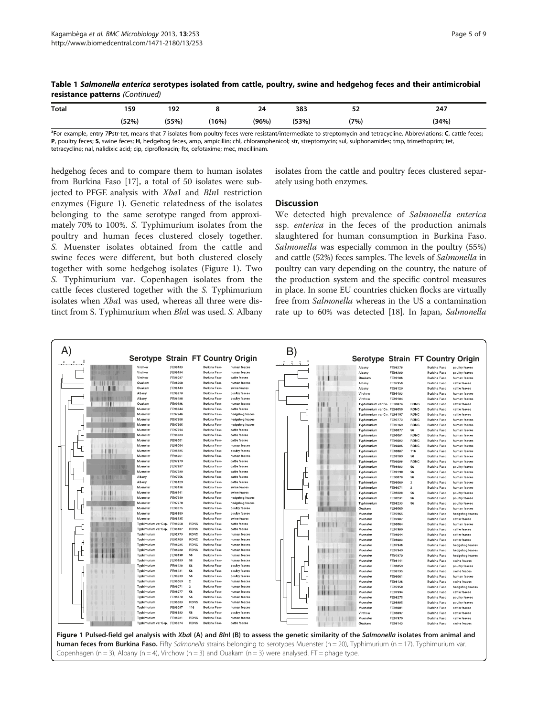<span id="page-4-0"></span>

|                                 | Table 1 Salmonella enterica serotypes isolated from cattle, poultry, swine and hedgehog feces and their antimicrobial |  |  |  |
|---------------------------------|-----------------------------------------------------------------------------------------------------------------------|--|--|--|
| resistance patterns (Continued) |                                                                                                                       |  |  |  |

| <b>Total</b> | 159   | 107<br>124 | . .   | 24    | 383   | e o<br>ےر | 247   |
|--------------|-------|------------|-------|-------|-------|-----------|-------|
|              | (52%) | (55%)      | (16%) | (96%) | (53%) | (7%)      | (34%) |

<sup>a</sup>For example, entry 7Pstr-tet, means that 7 isolates from poultry feces were resistant/intermediate to streptomycin and tetracycline. Abbreviations: C, cattle feces, P, poultry feces; S, swine feces; H, hedgehog feces, amp, ampicillin; chl, chloramphenicol; str, streptomycin; sul, sulphonamides; tmp, trimethoprim; tet, tetracycline; nal, nalidixic acid; cip, ciprofloxacin; ftx, cefotaxime; mec, mecillinam.

hedgehog feces and to compare them to human isolates from Burkina Faso [\[17\]](#page-7-0), a total of 50 isolates were subjected to PFGE analysis with XbaI and BlnI restriction enzymes (Figure 1). Genetic relatedness of the isolates belonging to the same serotype ranged from approximately 70% to 100%. S. Typhimurium isolates from the poultry and human feces clustered closely together. S. Muenster isolates obtained from the cattle and swine feces were different, but both clustered closely together with some hedgehog isolates (Figure 1). Two S. Typhimurium var. Copenhagen isolates from the cattle feces clustered together with the S. Typhimurium isolates when XbaI was used, whereas all three were distinct from S. Typhimurium when *BlnI* was used. S. Albany isolates from the cattle and poultry feces clustered separately using both enzymes.

#### **Discussion**

We detected high prevalence of Salmonella enterica ssp. enterica in the feces of the production animals slaughtered for human consumption in Burkina Faso. Salmonella was especially common in the poultry (55%) and cattle (52%) feces samples. The levels of Salmonella in poultry can vary depending on the country, the nature of the production system and the specific control measures in place. In some EU countries chicken flocks are virtually free from Salmonella whereas in the US a contamination rate up to 60% was detected [\[18\]](#page-7-0). In Japan, Salmonella

| $ A\rangle$                                                                                                                                     |                                     |                    |                     |                                     |                                | $\mathsf{B}$  |               |     |                             |                    |                |                                     |                                 |
|-------------------------------------------------------------------------------------------------------------------------------------------------|-------------------------------------|--------------------|---------------------|-------------------------------------|--------------------------------|---------------|---------------|-----|-----------------------------|--------------------|----------------|-------------------------------------|---------------------------------|
|                                                                                                                                                 | Serotype Strain FT Country Origin   |                    |                     |                                     |                                |               |               |     | <b>Serotype</b>             |                    |                |                                     | <b>Strain FT Country Origin</b> |
|                                                                                                                                                 | Virchow                             | FE99183            |                     | Burkina Faso                        | human feaces                   | $\circledast$ | $\circledast$ |     | Albany                      | FE98278            |                | <b>Burkina Faso</b>                 | poultry feaces                  |
|                                                                                                                                                 | Virchow                             | FE99184            |                     | Burkina Faso                        | human feaces                   |               |               |     | Albany                      | FE98280            |                | Burkina Easo                        | poultry feaces                  |
|                                                                                                                                                 | Virchow                             | FE98097            |                     | Burkina Faso                        | cattle feaces                  |               |               |     | Ouakam                      | FE99186            |                | Burkina Faso                        | human feaces                    |
|                                                                                                                                                 | Ouakam                              | FE96060            |                     | Burkina Faso                        | human feaces                   |               |               |     | Albany                      | FE97956            |                | Burkina Faso                        | cattle feaces                   |
|                                                                                                                                                 | Ouakam                              | FE98143            |                     | Burkina Faso                        | swine feaces                   |               |               |     | Albany                      | FE98129            |                | Burkina Faso                        | cattle feaces                   |
|                                                                                                                                                 | Albany                              | FE98278            |                     | Burkina Faso                        | poultry feaces                 |               |               |     | Virchow                     | FE99183            |                | <b>Burkina Faso</b>                 | human feaces                    |
|                                                                                                                                                 | Albany                              | FE98280            |                     | Burkina Faso                        | poultry feaces                 |               |               |     | Virchow                     | FE99184            |                | Burkina Faso                        | human feaces                    |
| $^{\prime\prime}$                                                                                                                               | Ouakam                              | FE99186            |                     | Burkina Faso                        | human feaces                   |               |               |     | Typhimurium var Co. FE98074 |                    | RDNC           | <b>Burkina Faso</b>                 | cattle feaces                   |
|                                                                                                                                                 | Muenster                            | FE98044            |                     | Burkina Faso                        | cattle feaces                  |               |               |     | Typhimurium var Co. FE98050 |                    | <b>RDNC</b>    | Burkina Faso                        | cattle feaces                   |
|                                                                                                                                                 | Muenster                            | FE97946            |                     | Burkina Faso                        | hedgehog feaces                |               |               |     | Typhimurium var Co. FE98107 |                    | RDNC           | Burkina Faso                        | cattle feaces                   |
| 11910                                                                                                                                           | Muenster                            | FE97950            |                     | Burkina Faso                        | hedgehog feaces                |               |               |     | Typhimurium                 | FE92773            | <b>RDNC</b>    | Burkina Faso                        | human feaces                    |
|                                                                                                                                                 | Muenster                            | FE97965            |                     | Burkina Faso                        | hedgehog feaces                |               |               |     | Typhimurium                 | FE92769            | RDNC           | Burkina Faso                        | human feaces                    |
| $+111$                                                                                                                                          | Muenster                            | FE97994            |                     | Burkina Faso                        | cattle feaces                  |               |               |     | Typhimurium                 | FE96077            | 56             | Burkina Faso                        | human feaces                    |
|                                                                                                                                                 | Muenster                            | FE98083            |                     | Burkina Faso                        | cattle feaces                  |               |               |     | Typhimurium                 | FE96081            | RDNC           | <b>Burkina Faso</b>                 | human feaces                    |
|                                                                                                                                                 | Muenster<br>Muenster                | FE98001            |                     | Burkina Faso                        | cattle feaces                  |               |               |     | Typhimurium                 | FE96083            | <b>RDNC</b>    | <b>Burkina Faso</b>                 | human feaces                    |
|                                                                                                                                                 | Muenster                            | FE96064<br>FE98885 |                     | Burkina Faso<br>Burkina Faso        | human feaces                   |               |               |     | Typhimurium                 | FE96085            | RDNC           | Burkina Faso                        | human feaces                    |
|                                                                                                                                                 | Muenster                            | FE96061            |                     | Burkina Faso                        | poultry feaces<br>human feaces |               |               |     | Typhimurium<br>Typhimurium  | FE96087<br>FE99189 | 116<br>56      | <b>Burkina Faso</b><br>Burkina Faso | human feaces<br>human feaces    |
|                                                                                                                                                 | Muenster                            | FE97979            |                     | Burkina Faso                        | cattle feaces                  |               |               |     | Typhimurium                 | FE96088            | RDNC           | <b>Burkina Faso</b>                 | human feaces                    |
|                                                                                                                                                 | Muenster                            | FE97987            |                     | Burkina Faso                        | cattle feaces                  |               |               |     | Typhimurium                 | FE98983            | 56             | Burkina Faso                        | poultry feaces                  |
|                                                                                                                                                 | Muenster                            | FE97989            |                     | Burkina Faso                        | cattle feaces                  |               |               |     | Typhimurium                 | FE99190            | 56             | Burkina Faso                        | human feaces                    |
|                                                                                                                                                 | Albany                              | FE97956            |                     | Burkina Faso                        | cattle feaces                  |               |               |     | Typhimurium                 | FE96078            | 56             | Burkina Faso                        | human feaces                    |
|                                                                                                                                                 | Albany                              | FE98129            |                     | Burkina Faso                        | cattle feaces                  |               |               |     | Typhimurium                 | FE96069            | $\overline{c}$ | Burkina Faso                        | human feaces                    |
|                                                                                                                                                 | Muenster                            | FE98136            |                     | Burkina Faso                        | swine feaces                   |               |               |     | Typhimurium                 | FE96071            | $\overline{2}$ | Burkina Faso                        | human feaces                    |
| 1111                                                                                                                                            | Muenster                            | FE98141            |                     | Burkina Faso                        | swine feaces                   |               |               |     | Typhimurium                 | FE98228            | 56             | Burkina Faso                        | poultry feaces                  |
| 11.121                                                                                                                                          | Muenster                            | FE97949            |                     | <b>Burkina Faso</b>                 | hedgehog feaces                |               |               |     | Typhimurium                 | FE98231            | 56             | Burkina Faso                        | poultry feaces                  |
|                                                                                                                                                 | Muenster                            | FE97970            |                     | Burkina Faso                        | hedgehog feaces                |               |               |     | Typhimurium                 | FE98233            | 56             | Burkina Faso                        | poultry feaces                  |
| <b>H</b> (18)                                                                                                                                   | Muenster                            | FE98275            |                     | Burkina Faso                        | poultry feaces                 |               |               |     | Ouakam                      | FE96060            |                | Burkina Faso                        | human feaces                    |
|                                                                                                                                                 | Muenster                            | FE98859            |                     | Burkina Faso                        | poultry feaces                 |               |               |     | Muenster                    | FE97965            |                | Burkina Faso                        | hedgehog feaces                 |
| <b>H E FEN E</b><br>111                                                                                                                         | Muenster                            | FE98135            |                     | Burkina Faso                        | swine feaces                   |               |               |     | Muenster                    | FE97987            |                | <b>Burkina Faso</b>                 | cattle feaces                   |
|                                                                                                                                                 | Typhimurium var Cop.                | FE98050            | RDNC                | Burkina Faso                        | cattle feaces                  |               |               | 31. | Muenster                    | FE96064            |                | Burkina Faso                        | human feaces                    |
|                                                                                                                                                 | Typhimurium var Cop.<br>Typhimurium | FE98107<br>FE92773 | RDNC<br><b>RDNC</b> | Burkina Faso<br><b>Burkina Faso</b> | cattle feaces<br>human feaces  |               |               |     | Muenster                    | FE97989            |                | Burkina Faso                        | cattle feaces                   |
|                                                                                                                                                 | Typhimurium                         | FE92769            | RDNC                | Burkina Faso                        | human feaces                   |               |               |     | Muenster<br>Muenstei        | FE98044<br>FE98083 |                | <b>Burkina Faso</b><br>Burkina Faso | cattle feaces<br>cattle feaces  |
|                                                                                                                                                 | Typhimurium                         | FE96085            | RDNC                | <b>Burkina Faso</b>                 | human feaces                   |               |               |     | Muenster                    | FE97946            |                | <b>Burkina Faso</b>                 | hedgehog feaces                 |
|                                                                                                                                                 | Typhimurium                         | FE96088            | RDNC                | Burkina Faso                        | human feaces                   |               |               |     | Muenster                    | FE97949            |                | Burkina Faso                        | hedgehog feaces                 |
|                                                                                                                                                 | Typhimurium                         | FE99190            | 56                  | Burkina Faso                        | human feaces                   |               |               |     | Muenster                    | FE97970            |                | <b>Burkina Faso</b>                 | hedgehog feaces                 |
|                                                                                                                                                 | Typhimurium                         | FE99189            | 56                  | Burkina Faso                        | human feaces                   |               |               |     | Muenster                    | FE98141            |                | Burkina Faso                        | swine feaces                    |
|                                                                                                                                                 | Typhimurium                         | FE98228            | 56                  | Burkina Faso                        | poultry feaces                 |               |               |     | Muenster                    | FE98859            |                | Burkina Faso                        | poultry feaces                  |
|                                                                                                                                                 | Typhimurium                         | FE98231            | 56                  | Burkina Faso                        | poultry feaces                 |               |               |     | Muenster                    | FE98135            |                | Burkina Faso                        | swine feaces                    |
|                                                                                                                                                 | Typhimurium                         | FE98233            | 56                  | Burkina Faso                        | poultry feaces                 |               |               |     | Muenster                    | FE96061            |                | Burkina Faso                        | human feaces                    |
|                                                                                                                                                 | Typhimurium                         | FE96069            | $\overline{c}$      | Burkina Faso                        | human feaces                   |               |               |     | Muenster                    | FE98136            |                | Burkina Faso                        | swine feaces                    |
|                                                                                                                                                 | Typhimurium                         | FE96071            | $\overline{2}$      | Burkina Faso                        | human feaces                   |               |               |     | Muenster                    | FE97950            |                | Burkina Faso                        | hedgehog feaces                 |
|                                                                                                                                                 | Typhimurium                         | FE96077            | 56                  | Burkina Faso                        | human feaces                   |               |               | ш   | Muenster                    | FE97994            |                | <b>Burkina Faso</b>                 | cattle feaces                   |
|                                                                                                                                                 | Typhimurium                         | FE96078            | 56                  | Burkina Faso                        | human feaces                   |               |               |     | Muenster                    | FE98275            |                | Burkina Faso                        | poultry feaces                  |
|                                                                                                                                                 | Typhimurium                         | FE96083            | RDNC                | Burkina Faso                        | human feaces                   |               |               |     | Muenster                    | FE98885            |                | <b>Burkina Faso</b>                 | poultry feaces                  |
|                                                                                                                                                 | Typhimurium                         | FE96087            | 116                 | Burkina Faso                        | human feaces                   |               |               | ш   | Muenster                    | FE98001            |                | Burkina Faso                        | cattle feaces                   |
|                                                                                                                                                 | Typhimurium<br>Typhimurium          | FE98983<br>FE96081 | 56<br>RDNC          | Burkina Faso<br><b>Burkina Fasc</b> | poultry feaces<br>human feaces |               |               |     | Virchow                     | FE98097            |                | Burkina Faso                        | cattle feaces                   |
|                                                                                                                                                 | Typhimurium var Cop. FE98074        |                    | RDNC                | Burkina Faso                        | cattle feaces                  |               |               |     | Muenster<br>Ouakam          | FE97979<br>FE98143 |                | Burkina Faso<br>Burkina Faso        | cattle feaces                   |
|                                                                                                                                                 |                                     |                    |                     |                                     |                                |               |               |     |                             |                    |                |                                     | swine feaces                    |
| Figure 1 Pulsed-field gel analysis with Xbal (A) and Blnl (B) to assess the genetic similarity of the Salmonella isolates from animal and       |                                     |                    |                     |                                     |                                |               |               |     |                             |                    |                |                                     |                                 |
| <b>human feces from Burkina Faso.</b> Fifty Salmonella strains belonging to serotypes Muenster (n = 20), Typhimurium (n = 17), Typhimurium var. |                                     |                    |                     |                                     |                                |               |               |     |                             |                    |                |                                     |                                 |
| Copenhagen (n = 3), Albany (n = 4), Virchow (n = 3) and Ouakam (n = 3) were analysed. FT = phage type.                                          |                                     |                    |                     |                                     |                                |               |               |     |                             |                    |                |                                     |                                 |
|                                                                                                                                                 |                                     |                    |                     |                                     |                                |               |               |     |                             |                    |                |                                     |                                 |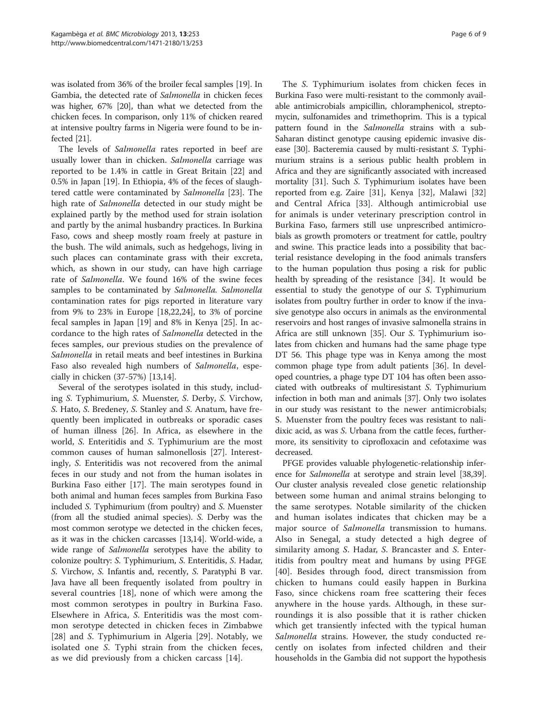was isolated from 36% of the broiler fecal samples [\[19\]](#page-7-0). In Gambia, the detected rate of Salmonella in chicken feces was higher, 67% [\[20](#page-8-0)], than what we detected from the chicken feces. In comparison, only 11% of chicken reared at intensive poultry farms in Nigeria were found to be infected [\[21](#page-8-0)].

The levels of Salmonella rates reported in beef are usually lower than in chicken. Salmonella carriage was reported to be 1.4% in cattle in Great Britain [\[22](#page-8-0)] and 0.5% in Japan [[19](#page-7-0)]. In Ethiopia, 4% of the feces of slaughtered cattle were contaminated by Salmonella [[23](#page-8-0)]. The high rate of Salmonella detected in our study might be explained partly by the method used for strain isolation and partly by the animal husbandry practices. In Burkina Faso, cows and sheep mostly roam freely at pasture in the bush. The wild animals, such as hedgehogs, living in such places can contaminate grass with their excreta, which, as shown in our study, can have high carriage rate of Salmonella. We found 16% of the swine feces samples to be contaminated by Salmonella. Salmonella contamination rates for pigs reported in literature vary from 9% to 23% in Europe [\[18,](#page-7-0)[22,24\]](#page-8-0), to 3% of porcine fecal samples in Japan [[19\]](#page-7-0) and 8% in Kenya [[25](#page-8-0)]. In accordance to the high rates of Salmonella detected in the feces samples, our previous studies on the prevalence of Salmonella in retail meats and beef intestines in Burkina Faso also revealed high numbers of Salmonella, especially in chicken (37-57%) [\[13,14](#page-7-0)].

Several of the serotypes isolated in this study, including S. Typhimurium, S. Muenster, S. Derby, S. Virchow, S. Hato, S. Bredeney, S. Stanley and S. Anatum, have frequently been implicated in outbreaks or sporadic cases of human illness [\[26\]](#page-8-0). In Africa, as elsewhere in the world, S. Enteritidis and S. Typhimurium are the most common causes of human salmonellosis [\[27\]](#page-8-0). Interestingly, S. Enteritidis was not recovered from the animal feces in our study and not from the human isolates in Burkina Faso either [[17\]](#page-7-0). The main serotypes found in both animal and human feces samples from Burkina Faso included S. Typhimurium (from poultry) and S. Muenster (from all the studied animal species). S. Derby was the most common serotype we detected in the chicken feces, as it was in the chicken carcasses [\[13,14](#page-7-0)]. World-wide, a wide range of *Salmonella* serotypes have the ability to colonize poultry: S. Typhimurium, S. Enteritidis, S. Hadar, S. Virchow, S. Infantis and, recently, S. Paratyphi B var. Java have all been frequently isolated from poultry in several countries [\[18](#page-7-0)], none of which were among the most common serotypes in poultry in Burkina Faso. Elsewhere in Africa, S. Enteritidis was the most common serotype detected in chicken feces in Zimbabwe [[28\]](#page-8-0) and S. Typhimurium in Algeria [\[29](#page-8-0)]. Notably, we isolated one S. Typhi strain from the chicken feces, as we did previously from a chicken carcass [\[14](#page-7-0)].

The S. Typhimurium isolates from chicken feces in Burkina Faso were multi-resistant to the commonly available antimicrobials ampicillin, chloramphenicol, streptomycin, sulfonamides and trimethoprim. This is a typical pattern found in the *Salmonella* strains with a sub-Saharan distinct genotype causing epidemic invasive disease [\[30\]](#page-8-0). Bacteremia caused by multi-resistant S. Typhimurium strains is a serious public health problem in Africa and they are significantly associated with increased mortality [[31](#page-8-0)]. Such S. Typhimurium isolates have been reported from e.g. Zaire [[31\]](#page-8-0), Kenya [\[32](#page-8-0)], Malawi [\[32](#page-8-0)] and Central Africa [\[33](#page-8-0)]. Although antimicrobial use for animals is under veterinary prescription control in Burkina Faso, farmers still use unprescribed antimicrobials as growth promoters or treatment for cattle, poultry and swine. This practice leads into a possibility that bacterial resistance developing in the food animals transfers to the human population thus posing a risk for public health by spreading of the resistance [\[34](#page-8-0)]. It would be essential to study the genotype of our S. Typhimurium isolates from poultry further in order to know if the invasive genotype also occurs in animals as the environmental reservoirs and host ranges of invasive salmonella strains in Africa are still unknown [\[35\]](#page-8-0). Our S. Typhimurium isolates from chicken and humans had the same phage type DT 56. This phage type was in Kenya among the most common phage type from adult patients [\[36\]](#page-8-0). In developed countries, a phage type DT 104 has often been associated with outbreaks of multiresistant S. Typhimurium infection in both man and animals [[37](#page-8-0)]. Only two isolates in our study was resistant to the newer antimicrobials; S. Muenster from the poultry feces was resistant to nalidixic acid, as was S. Urbana from the cattle feces, furthermore, its sensitivity to ciprofloxacin and cefotaxime was decreased.

PFGE provides valuable phylogenetic-relationship inference for *Salmonella* at serotype and strain level [\[38,39](#page-8-0)]. Our cluster analysis revealed close genetic relationship between some human and animal strains belonging to the same serotypes. Notable similarity of the chicken and human isolates indicates that chicken may be a major source of *Salmonella* transmission to humans. Also in Senegal, a study detected a high degree of similarity among S. Hadar, S. Brancaster and S. Enteritidis from poultry meat and humans by using PFGE [[40\]](#page-8-0). Besides through food, direct transmission from chicken to humans could easily happen in Burkina Faso, since chickens roam free scattering their feces anywhere in the house yards. Although, in these surroundings it is also possible that it is rather chicken which get transiently infected with the typical human Salmonella strains. However, the study conducted recently on isolates from infected children and their households in the Gambia did not support the hypothesis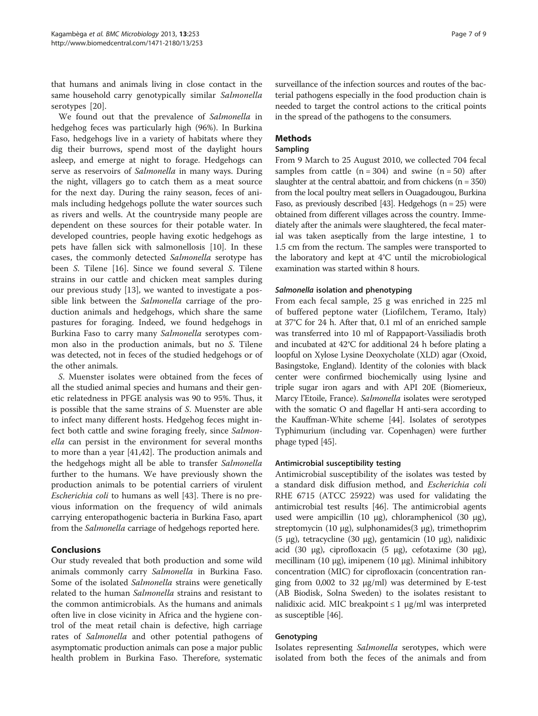that humans and animals living in close contact in the same household carry genotypically similar Salmonella serotypes [[20\]](#page-8-0).

We found out that the prevalence of Salmonella in hedgehog feces was particularly high (96%). In Burkina Faso, hedgehogs live in a variety of habitats where they dig their burrows, spend most of the daylight hours asleep, and emerge at night to forage. Hedgehogs can serve as reservoirs of Salmonella in many ways. During the night, villagers go to catch them as a meat source for the next day. During the rainy season, feces of animals including hedgehogs pollute the water sources such as rivers and wells. At the countryside many people are dependent on these sources for their potable water. In developed countries, people having exotic hedgehogs as pets have fallen sick with salmonellosis [[10](#page-7-0)]. In these cases, the commonly detected Salmonella serotype has been S. Tilene [\[16](#page-7-0)]. Since we found several S. Tilene strains in our cattle and chicken meat samples during our previous study [[13\]](#page-7-0), we wanted to investigate a possible link between the Salmonella carriage of the production animals and hedgehogs, which share the same pastures for foraging. Indeed, we found hedgehogs in Burkina Faso to carry many Salmonella serotypes common also in the production animals, but no S. Tilene was detected, not in feces of the studied hedgehogs or of the other animals.

S. Muenster isolates were obtained from the feces of all the studied animal species and humans and their genetic relatedness in PFGE analysis was 90 to 95%. Thus, it is possible that the same strains of S. Muenster are able to infect many different hosts. Hedgehog feces might infect both cattle and swine foraging freely, since Salmonella can persist in the environment for several months to more than a year [[41,42\]](#page-8-0). The production animals and the hedgehogs might all be able to transfer Salmonella further to the humans. We have previously shown the production animals to be potential carriers of virulent Escherichia coli to humans as well [[43](#page-8-0)]. There is no previous information on the frequency of wild animals carrying enteropathogenic bacteria in Burkina Faso, apart from the *Salmonella* carriage of hedgehogs reported here.

# Conclusions

Our study revealed that both production and some wild animals commonly carry Salmonella in Burkina Faso. Some of the isolated Salmonella strains were genetically related to the human Salmonella strains and resistant to the common antimicrobials. As the humans and animals often live in close vicinity in Africa and the hygiene control of the meat retail chain is defective, high carriage rates of *Salmonella* and other potential pathogens of asymptomatic production animals can pose a major public health problem in Burkina Faso. Therefore, systematic

surveillance of the infection sources and routes of the bacterial pathogens especially in the food production chain is needed to target the control actions to the critical points in the spread of the pathogens to the consumers.

# Methods

# Sampling

From 9 March to 25 August 2010, we collected 704 fecal samples from cattle  $(n = 304)$  and swine  $(n = 50)$  after slaughter at the central abattoir, and from chickens  $(n = 350)$ from the local poultry meat sellers in Ouagadougou, Burkina Faso, as previously described [\[43\]](#page-8-0). Hedgehogs  $(n = 25)$  were obtained from different villages across the country. Immediately after the animals were slaughtered, the fecal material was taken aseptically from the large intestine, 1 to 1.5 cm from the rectum. The samples were transported to the laboratory and kept at 4°C until the microbiological examination was started within 8 hours.

# Salmonella isolation and phenotyping

From each fecal sample, 25 g was enriched in 225 ml of buffered peptone water (Liofilchem, Teramo, Italy) at 37°C for 24 h. After that, 0.1 ml of an enriched sample was transferred into 10 ml of Rappaport-Vassiliadis broth and incubated at 42°C for additional 24 h before plating a loopful on Xylose Lysine Deoxycholate (XLD) agar (Oxoid, Basingstoke, England). Identity of the colonies with black center were confirmed biochemically using lysine and triple sugar iron agars and with API 20E (Biomerieux, Marcy l'Etoile, France). Salmonella isolates were serotyped with the somatic O and flagellar H anti-sera according to the Kauffman-White scheme [\[44\]](#page-8-0). Isolates of serotypes Typhimurium (including var. Copenhagen) were further phage typed [\[45\]](#page-8-0).

# Antimicrobial susceptibility testing

Antimicrobial susceptibility of the isolates was tested by a standard disk diffusion method, and Escherichia coli RHE 6715 (ATCC 25922) was used for validating the antimicrobial test results [\[46\]](#page-8-0). The antimicrobial agents used were ampicillin (10 μg), chloramphenicol (30 μg), streptomycin (10 μg), sulphonamides(3 μg), trimethoprim (5 μg), tetracycline (30 μg), gentamicin (10 μg), nalidixic acid (30 μg), ciprofloxacin (5 μg), cefotaxime (30 μg), mecillinam (10 μg), imipenem (10 μg). Minimal inhibitory concentration (MIC) for ciprofloxacin (concentration ranging from 0,002 to 32 μg/ml) was determined by E-test (AB Biodisk, Solna Sweden) to the isolates resistant to nalidixic acid. MIC breakpoint  $\leq 1$  µg/ml was interpreted as susceptible [[46\]](#page-8-0).

# Genotyping

Isolates representing Salmonella serotypes, which were isolated from both the feces of the animals and from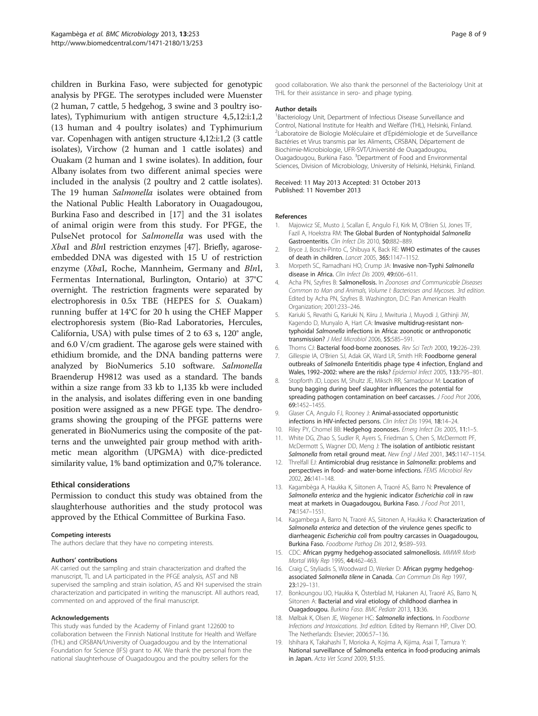<span id="page-7-0"></span>children in Burkina Faso, were subjected for genotypic analysis by PFGE. The serotypes included were Muenster (2 human, 7 cattle, 5 hedgehog, 3 swine and 3 poultry isolates), Typhimurium with antigen structure 4,5,12:i:1,2 (13 human and 4 poultry isolates) and Typhimurium var. Copenhagen with antigen structure 4,12:i:1,2 (3 cattle isolates), Virchow (2 human and 1 cattle isolates) and Ouakam (2 human and 1 swine isolates). In addition, four Albany isolates from two different animal species were included in the analysis (2 poultry and 2 cattle isolates). The 19 human Salmonella isolates were obtained from the National Public Health Laboratory in Ouagadougou, Burkina Faso and described in [17] and the 31 isolates of animal origin were from this study. For PFGE, the PulseNet protocol for Salmonella was used with the XbaI and BlnI restriction enzymes [\[47\]](#page-8-0). Briefly, agaroseembedded DNA was digested with 15 U of restriction enzyme (XbaI, Roche, Mannheim, Germany and BlnI, Fermentas International, Burlington, Ontario) at 37°C overnight. The restriction fragments were separated by electrophoresis in 0.5x TBE (HEPES for S. Ouakam) running buffer at 14°C for 20 h using the CHEF Mapper electrophoresis system (Bio-Rad Laboratories, Hercules, California, USA) with pulse times of 2 to 63 s, 120° angle, and 6.0 V/cm gradient. The agarose gels were stained with ethidium bromide, and the DNA banding patterns were analyzed by BioNumerics 5.10 software. Salmonella Braenderup H9812 was used as a standard. The bands within a size range from 33 kb to 1,135 kb were included in the analysis, and isolates differing even in one banding position were assigned as a new PFGE type. The dendrograms showing the grouping of the PFGE patterns were generated in BioNumerics using the composite of the patterns and the unweighted pair group method with arithmetic mean algorithm (UPGMA) with dice-predicted similarity value, 1% band optimization and 0,7% tolerance.

#### Ethical considerations

Permission to conduct this study was obtained from the slaughterhouse authorities and the study protocol was approved by the Ethical Committee of Burkina Faso.

#### Competing interests

The authors declare that they have no competing interests.

#### Authors' contributions

AK carried out the sampling and strain characterization and drafted the manuscript, TL and LA participated in the PFGE analysis, AST and NB supervised the sampling and strain isolation, AS and KH supervised the strain characterization and participated in writing the manuscript. All authors read, commented on and approved of the final manuscript.

#### Acknowledgements

This study was funded by the Academy of Finland grant 122600 to collaboration between the Finnish National Institute for Health and Welfare (THL) and CRSBAN/University of Ouagadougou and by the International Foundation for Science (IFS) grant to AK. We thank the personal from the national slaughterhouse of Ouagadougou and the poultry sellers for the

good collaboration. We also thank the personnel of the Bacteriology Unit at THL for their assistance in sero- and phage typing.

#### Author details

<sup>1</sup> Bacteriology Unit, Department of Infectious Disease Surveillance and Control, National Institute for Health and Welfare (THL), Helsinki, Finland. <sup>2</sup>Laboratoire de Biologie Moléculaire et d'Epidémiologie et de Surveillance Bactéries et Virus transmis par les Aliments, CRSBAN, Département de Biochimie-Microbiologie, UFR-SVT/Université de Ouagadougou, Ouagadougou, Burkina Faso. <sup>3</sup>Department of Food and Environmental Sciences, Division of Microbiology, University of Helsinki, Helsinki, Finland.

Received: 11 May 2013 Accepted: 31 October 2013 Published: 11 November 2013

#### References

- 1. Majowicz SE, Musto J, Scallan E, Angulo FJ, Kirk M, O'Brien SJ, Jones TF, Fazil A, Hoekstra RM: The Global Burden of Nontyphoidal Salmonella Gastroenteritis. Clin Infect Dis 2010, 50:882–889.
- 2. Bryce J, Boschi-Pinto C, Shibuya K, Back RE: WHO estimates of the causes of death in children. Lancet 2005, 365:1147–1152.
- 3. Morpeth SC, Ramadhani HO, Crump JA: Invasive non-Typhi Salmonella disease in Africa. Clin Infect Dis 2009, 49:606–611.
- 4. Acha PN, Szyfres B: Salmonellosis. In Zoonoses and Communicable Diseases Common to Man and Animals, Volume I: Bacterioses and Mycoses. 3rd edition. Edited by Acha PN, Szyfres B. Washington, D.C: Pan American Health Organization; 2001:233–246.
- 5. Kariuki S, Revathi G, Kariuki N, Kiiru J, Mwituria J, Muyodi J, Githinji JW, Kagendo D, Munyalo A, Hart CA: Invasive multidrug-resistant nontyphoidal Salmonella infections in Africa: zoonotic or anthroponotic transmission? J Med Microbiol 2006, 55:585–591.
- 6. Thorns CJ: Bacterial food-borne zoonoses. Rev Sci Tech 2000, 19:226–239.
- 7. Gillespie IA, O'Brien SJ, Adak GK, Ward LR, Smith HR: Foodborne general outbreaks of Salmonella Enteritidis phage type 4 infection, England and Wales, 1992-2002: where are the risks? Epidemiol Infect 2005, 133:795-801.
- 8. Stopforth JD, Lopes M, Shultz JE, Miksch RR, Samadpour M: Location of bung bagging during beef slaughter influences the potential for spreading pathogen contamination on beef carcasses. J Food Prot 2006, 69:1452–1455.
- 9. Glaser CA, Angulo FJ, Rooney J: Animal-associated opportunistic infections in HIV-infected persons. Clin Infect Dis 1994, 18:14–24.
- 10. Riley PY, Chomel BB: Hedgehog zoonoses. Emerg Infect Dis 2005, 11:1-5.
- 11. White DG, Zhao S, Sudler R, Ayers S, Friedman S, Chen S, McDermott PF, McDermott S, Wagner DD, Meng J: The isolation of antibiotic resistant Salmonella from retail ground meat. New Engl J Med 2001, 345:1147-1154.
- 12. Threlfall EJ: Antimicrobial drug resistance in Salmonella: problems and perspectives in food- and water-borne infections. FEMS Microbiol Rev 2002, 26:141–148.
- 13. Kagambèga A, Haukka K, Siitonen A, Traoré AS, Barro N: Prevalence of Salmonella enterica and the hygienic indicator Escherichia coli in raw meat at markets in Ouagadougou, Burkina Faso. J Food Prot 2011, 74:1547–1551.
- 14. Kagambega A, Barro N, Traoré AS, Siitonen A, Haukka K: Characterization of Salmonella enterica and detection of the virulence genes specific to diarrheagenic Escherichia coli from poultry carcasses in Ouagadougou, Burkina Faso. Foodborne Pathog Dis 2012, 9:589–593.
- 15. CDC: African pygmy hedgehog-associated salmonellosis. MMWR Morb Mortal Wkly Rep 1995, 44:462–463.
- 16. Craig C, Styliadis S, Woodward D, Werker D: African pygmy hedgehogassociated Salmonella tilene in Canada. Can Commun Dis Rep 1997, 23:129–131.
- 17. Bonkoungou IJO, Haukka K, Österblad M, Hakanen AJ, Traoré AS, Barro N, Siitonen A: Bacterial and viral etiology of childhood diarrhea in Ouagadougou. Burkina Faso. BMC Pediatr 2013, 13:36.
- 18. Mølbak K, Olsen JE, Wegener HC: Salmonella infections. In Foodborne Infections and Intoxications. 3rd edition. Edited by Riemann HP, Cliver DO. The Netherlands: Elsevier; 2006:57–136.
- 19. Ishihara K, Takahashi T, Morioka A, Kojima A, Kijima, Asai T, Tamura Y: National surveillance of Salmonella enterica in food-producing animals in Japan. Acta Vet Scand 2009, 51:35.